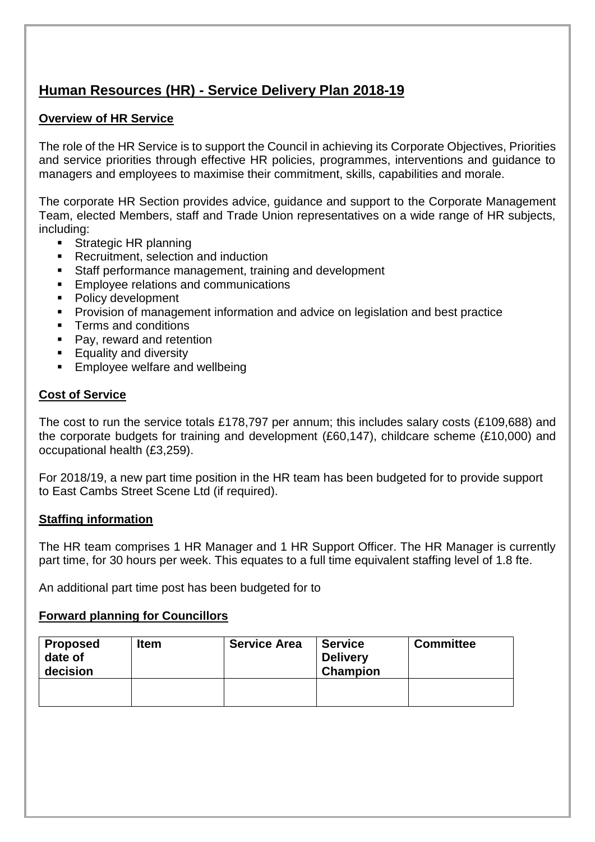### **Human Resources (HR) - Service Delivery Plan 2018-19**

#### **Overview of HR Service**

The role of the HR Service is to support the Council in achieving its Corporate Objectives, Priorities and service priorities through effective HR policies, programmes, interventions and guidance to managers and employees to maximise their commitment, skills, capabilities and morale.

The corporate HR Section provides advice, guidance and support to the Corporate Management Team, elected Members, staff and Trade Union representatives on a wide range of HR subjects, including:

- Strategic HR planning
- **Recruitment, selection and induction**
- **Staff performance management, training and development**
- **Employee relations and communications**
- Policy development
- **Provision of management information and advice on legislation and best practice**
- **Terms and conditions**
- Pay, reward and retention
- **Equality and diversity**
- **Employee welfare and wellbeing**

#### **Cost of Service**

The cost to run the service totals £178,797 per annum; this includes salary costs (£109,688) and the corporate budgets for training and development (£60,147), childcare scheme (£10,000) and occupational health (£3,259).

For 2018/19, a new part time position in the HR team has been budgeted for to provide support to East Cambs Street Scene Ltd (if required).

#### **Staffing information**

The HR team comprises 1 HR Manager and 1 HR Support Officer. The HR Manager is currently part time, for 30 hours per week. This equates to a full time equivalent staffing level of 1.8 fte.

An additional part time post has been budgeted for to

#### **Forward planning for Councillors**

| Proposed<br>date of<br>decision | <b>Item</b> | <b>Service Area</b> | <b>Service</b><br><b>Delivery</b><br><b>Champion</b> | <b>Committee</b> |
|---------------------------------|-------------|---------------------|------------------------------------------------------|------------------|
|                                 |             |                     |                                                      |                  |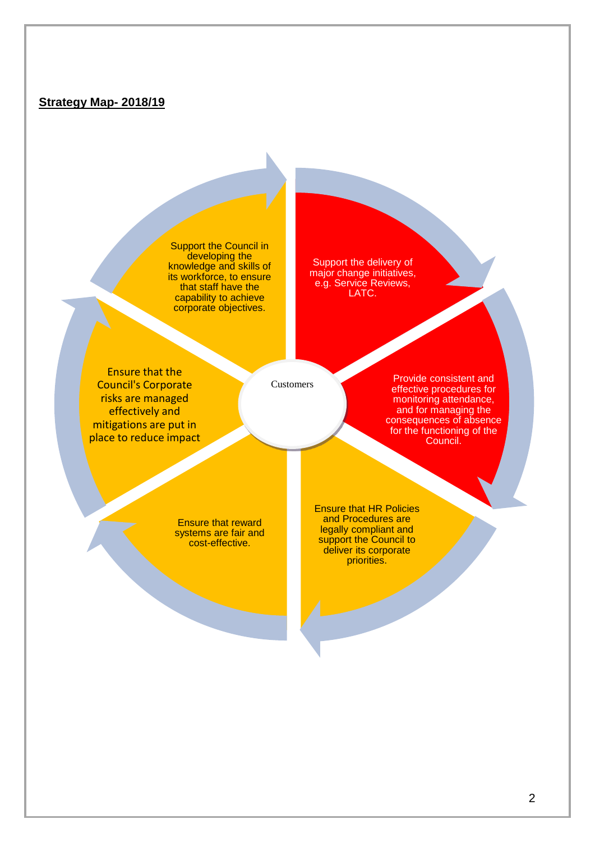#### **Strategy Map- 2018/19**

Support the Council in developing the knowledge and skills of its workforce, to ensure that staff have the capability to achieve corporate objectives.

Support the delivery of major change initiatives, e.g. Service Reviews, LATC.

Ensure that the Council's Corporate risks are managed effectively and mitigations are put in place to reduce impact

Customers

Provide consistent and effective procedures for monitoring attendance, and for managing the consequences of absence for the functioning of the Council.

Ensure that reward systems are fair and cost-effective.

Ensure that HR Policies and Procedures are legally compliant and support the Council to deliver its corporate priorities.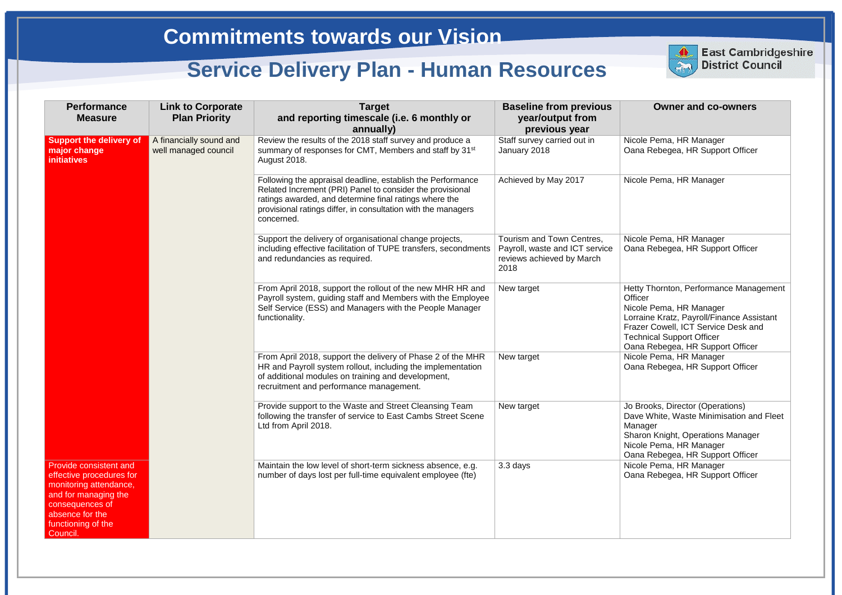#### **Owner and co-owners**

- cole Pema, HR Manager na Rebegea, HR Support Officer
- cole Pema, HR Manager
- ole Pema, HR Manager na Rebegea, HR Support Officer
- tty Thornton, Performance Management icer
- ole Pema, HR Manager
- rraine Kratz, Payroll/Finance Assistant azer Cowell, ICT Service Desk and
- chnical Support Officer
- na Rebegea, HR Support Officer
- cole Pema, HR Manager
- na Rebegea, HR Support Officer
- Brooks, Director (Operations) ve White, Waste Minimisation and Fleet nager
- aron Knight, Operations Manager cole Pema, HR Manager
- na Rebegea, HR Support Officer
- ole Pema, HR Manager
- na Rebegea, HR Support Officer

| <b>Performance</b><br><b>Measure</b>                                                                                                                                         | <b>Link to Corporate</b><br><b>Plan Priority</b> | <b>Target</b><br>and reporting timescale (i.e. 6 monthly or<br>annually)                                                                                                                                                                                          | <b>Baseline from previous</b><br>year/output from<br>previous year                               |                                                              |
|------------------------------------------------------------------------------------------------------------------------------------------------------------------------------|--------------------------------------------------|-------------------------------------------------------------------------------------------------------------------------------------------------------------------------------------------------------------------------------------------------------------------|--------------------------------------------------------------------------------------------------|--------------------------------------------------------------|
| <b>Support the delivery of</b><br>major change<br><b>initiatives</b>                                                                                                         | A financially sound and<br>well managed council  | Review the results of the 2018 staff survey and produce a<br>summary of responses for CMT, Members and staff by 31 <sup>st</sup><br><b>August 2018.</b>                                                                                                           | Staff survey carried out in<br>January 2018                                                      | <b>Nic</b><br>Oal                                            |
|                                                                                                                                                                              |                                                  | Following the appraisal deadline, establish the Performance<br>Related Increment (PRI) Panel to consider the provisional<br>ratings awarded, and determine final ratings where the<br>provisional ratings differ, in consultation with the managers<br>concerned. | Achieved by May 2017                                                                             | <b>Nic</b>                                                   |
|                                                                                                                                                                              |                                                  | Support the delivery of organisational change projects,<br>including effective facilitation of TUPE transfers, secondments<br>and redundancies as required.                                                                                                       | Tourism and Town Centres,<br>Payroll, waste and ICT service<br>reviews achieved by March<br>2018 | <b>Nic</b><br>Oal                                            |
|                                                                                                                                                                              |                                                  | From April 2018, support the rollout of the new MHR HR and<br>Payroll system, guiding staff and Members with the Employee<br>Self Service (ESS) and Managers with the People Manager<br>functionality.                                                            | New target                                                                                       | Het<br>Offi<br><b>Nic</b><br>Lor<br>Fra<br><b>Tec</b><br>Oal |
|                                                                                                                                                                              |                                                  | From April 2018, support the delivery of Phase 2 of the MHR<br>HR and Payroll system rollout, including the implementation<br>of additional modules on training and development,<br>recruitment and performance management.                                       | New target                                                                                       | <b>Nic</b><br>Oal                                            |
|                                                                                                                                                                              |                                                  | Provide support to the Waste and Street Cleansing Team<br>following the transfer of service to East Cambs Street Scene<br>Ltd from April 2018.                                                                                                                    | New target                                                                                       | Jo l<br>Da<br>Ma<br>Sha<br><b>Nic</b><br>Oal                 |
| Provide consistent and<br>effective procedures for<br>monitoring attendance,<br>and for managing the<br>consequences of<br>absence for the<br>functioning of the<br>Council. |                                                  | Maintain the low level of short-term sickness absence, e.g.<br>number of days lost per full-time equivalent employee (fte)                                                                                                                                        | 3.3 days                                                                                         | <b>Nic</b><br>Oal                                            |



**East Cambridgeshire District Council**

# **Commitments towards our Vision**

## **Service Delivery Plan - Human Resources**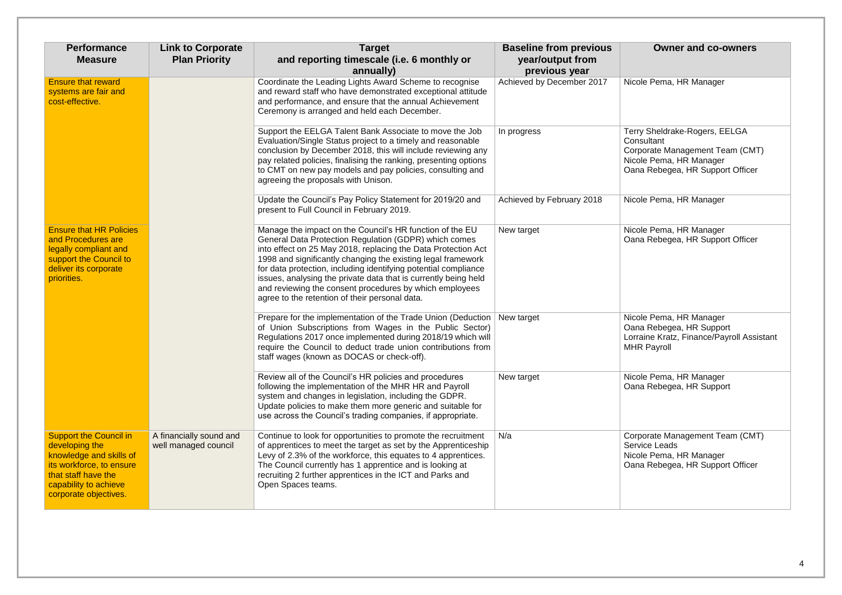### **Owner and co-owners**

cole Pema, HR Manager

**In progress** Terry Sheldrake-Rogers, EELGA Consultant Corporate Management Team (CMT) Nicole Pema, HR Manager Oana Rebegea, HR Support Officer

cole Pema, HR Manager

cole Pema, HR Manager ana Rebegea, HR Support Officer

cole Pema, HR Manager Oana Rebegea, HR Support Lorraine Kratz, Finance/Payroll Assistant HR Payroll

cole Pema, HR Manager ana Rebegea, HR Support

orporate Management Team (CMT) ervice Leads cole Pema, HR Manager ana Rebegea, HR Support Officer

| <b>Performance</b><br><b>Measure</b>                                                                                                                                            | <b>Link to Corporate</b><br><b>Plan Priority</b> | <b>Target</b><br>and reporting timescale (i.e. 6 monthly or<br>annually)                                                                                                                                                                                                                                                                                                                                                                                                                              | <b>Baseline from previous</b><br>year/output from<br>previous year |                                     |
|---------------------------------------------------------------------------------------------------------------------------------------------------------------------------------|--------------------------------------------------|-------------------------------------------------------------------------------------------------------------------------------------------------------------------------------------------------------------------------------------------------------------------------------------------------------------------------------------------------------------------------------------------------------------------------------------------------------------------------------------------------------|--------------------------------------------------------------------|-------------------------------------|
| <b>Ensure that reward</b><br>systems are fair and<br>cost-effective.                                                                                                            |                                                  | Coordinate the Leading Lights Award Scheme to recognise<br>and reward staff who have demonstrated exceptional attitude<br>and performance, and ensure that the annual Achievement<br>Ceremony is arranged and held each December.                                                                                                                                                                                                                                                                     | Achieved by December 2017                                          | <b>Nic</b>                          |
|                                                                                                                                                                                 |                                                  | Support the EELGA Talent Bank Associate to move the Job<br>Evaluation/Single Status project to a timely and reasonable<br>conclusion by December 2018, this will include reviewing any<br>pay related policies, finalising the ranking, presenting options<br>to CMT on new pay models and pay policies, consulting and<br>agreeing the proposals with Unison.                                                                                                                                        | In progress                                                        | Ter<br>Co<br>Co<br><b>Nic</b><br>Oa |
|                                                                                                                                                                                 |                                                  | Update the Council's Pay Policy Statement for 2019/20 and<br>present to Full Council in February 2019.                                                                                                                                                                                                                                                                                                                                                                                                | Achieved by February 2018                                          | <b>Nic</b>                          |
| <b>Ensure that HR Policies</b><br>and Procedures are<br>legally compliant and<br>support the Council to<br>deliver its corporate<br>priorities.                                 |                                                  | Manage the impact on the Council's HR function of the EU<br>General Data Protection Regulation (GDPR) which comes<br>into effect on 25 May 2018, replacing the Data Protection Act<br>1998 and significantly changing the existing legal framework<br>for data protection, including identifying potential compliance<br>issues, analysing the private data that is currently being held<br>and reviewing the consent procedures by which employees<br>agree to the retention of their personal data. | New target                                                         | <b>Nic</b><br>Oa                    |
|                                                                                                                                                                                 |                                                  | Prepare for the implementation of the Trade Union (Deduction<br>of Union Subscriptions from Wages in the Public Sector)<br>Regulations 2017 once implemented during 2018/19 which will<br>require the Council to deduct trade union contributions from<br>staff wages (known as DOCAS or check-off).                                                                                                                                                                                                  | New target                                                         | <b>Nic</b><br>Oa<br>Lor<br>MH       |
|                                                                                                                                                                                 |                                                  | Review all of the Council's HR policies and procedures<br>following the implementation of the MHR HR and Payroll<br>system and changes in legislation, including the GDPR.<br>Update policies to make them more generic and suitable for<br>use across the Council's trading companies, if appropriate.                                                                                                                                                                                               | New target                                                         | <b>Nic</b><br>Oa                    |
| <b>Support the Council in</b><br>developing the<br>knowledge and skills of<br>its workforce, to ensure<br>that staff have the<br>capability to achieve<br>corporate objectives. | A financially sound and<br>well managed council  | Continue to look for opportunities to promote the recruitment<br>of apprentices to meet the target as set by the Apprenticeship<br>Levy of 2.3% of the workforce, this equates to 4 apprentices.<br>The Council currently has 1 apprentice and is looking at<br>recruiting 2 further apprentices in the ICT and Parks and<br>Open Spaces teams.                                                                                                                                                       | N/a                                                                | Co<br>Sel<br><b>Nic</b><br>Oa       |